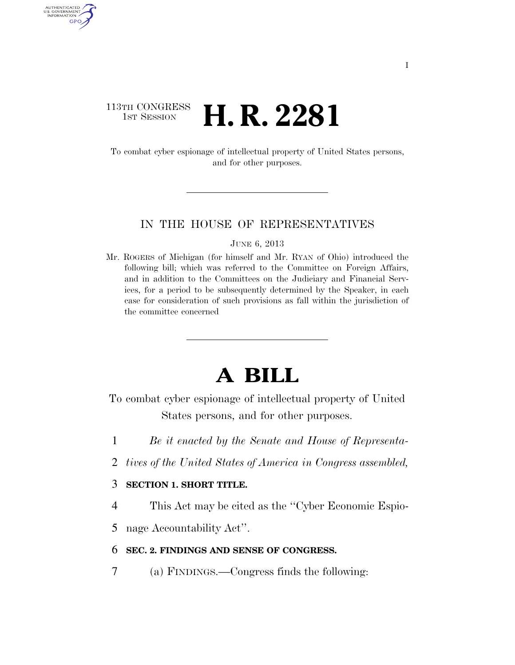## 113TH CONGRESS <sup>TH CONGRESS</sup> **H. R. 2281**

AUTHENTICATED U.S. GOVERNMENT GPO

> To combat cyber espionage of intellectual property of United States persons, and for other purposes.

## IN THE HOUSE OF REPRESENTATIVES

#### JUNE 6, 2013

Mr. ROGERS of Michigan (for himself and Mr. RYAN of Ohio) introduced the following bill; which was referred to the Committee on Foreign Affairs, and in addition to the Committees on the Judiciary and Financial Services, for a period to be subsequently determined by the Speaker, in each case for consideration of such provisions as fall within the jurisdiction of the committee concerned

# **A BILL**

To combat cyber espionage of intellectual property of United States persons, and for other purposes.

- 1 *Be it enacted by the Senate and House of Representa-*
- 2 *tives of the United States of America in Congress assembled,*

## 3 **SECTION 1. SHORT TITLE.**

4 This Act may be cited as the ''Cyber Economic Espio-

5 nage Accountability Act''.

### 6 **SEC. 2. FINDINGS AND SENSE OF CONGRESS.**

7 (a) FINDINGS.—Congress finds the following: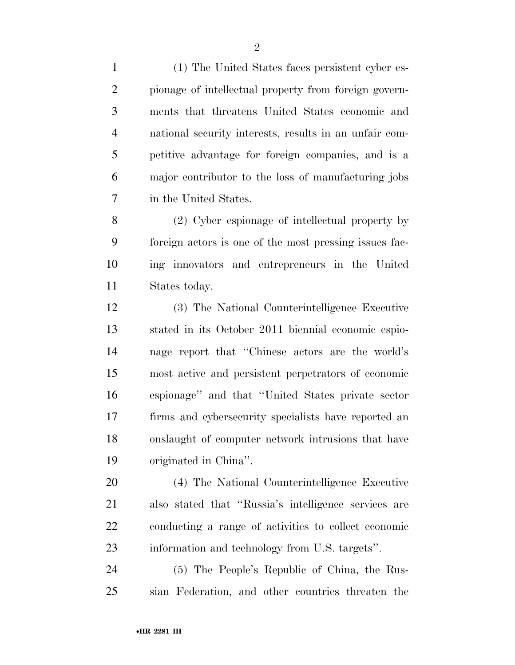(1) The United States faces persistent cyber es- pionage of intellectual property from foreign govern- ments that threatens United States economic and national security interests, results in an unfair com- petitive advantage for foreign companies, and is a major contributor to the loss of manufacturing jobs in the United States.

 (2) Cyber espionage of intellectual property by foreign actors is one of the most pressing issues fac- ing innovators and entrepreneurs in the United States today.

 (3) The National Counterintelligence Executive stated in its October 2011 biennial economic espio- nage report that ''Chinese actors are the world's most active and persistent perpetrators of economic espionage'' and that ''United States private sector firms and cybersecurity specialists have reported an onslaught of computer network intrusions that have originated in China''.

 (4) The National Counterintelligence Executive also stated that ''Russia's intelligence services are conducting a range of activities to collect economic information and technology from U.S. targets''.

 (5) The People's Republic of China, the Rus-sian Federation, and other countries threaten the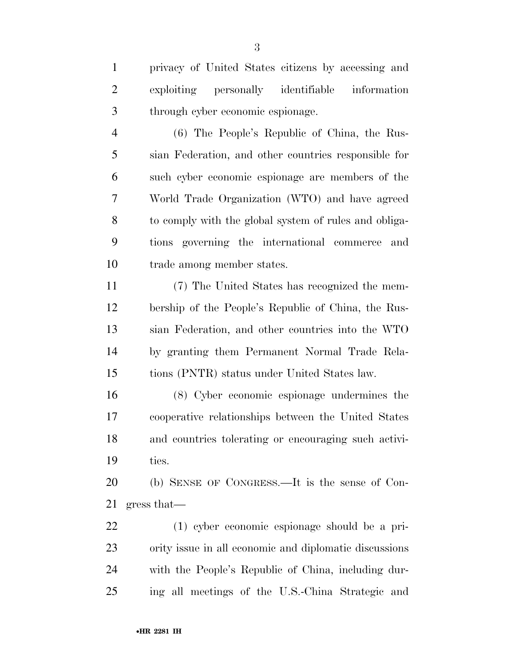privacy of United States citizens by accessing and exploiting personally identifiable information through cyber economic espionage.

 (6) The People's Republic of China, the Rus- sian Federation, and other countries responsible for such cyber economic espionage are members of the World Trade Organization (WTO) and have agreed to comply with the global system of rules and obliga- tions governing the international commerce and trade among member states.

 (7) The United States has recognized the mem- bership of the People's Republic of China, the Rus- sian Federation, and other countries into the WTO by granting them Permanent Normal Trade Rela-tions (PNTR) status under United States law.

 (8) Cyber economic espionage undermines the cooperative relationships between the United States and countries tolerating or encouraging such activi-ties.

 (b) SENSE OF CONGRESS.—It is the sense of Con-gress that—

 (1) cyber economic espionage should be a pri- ority issue in all economic and diplomatic discussions with the People's Republic of China, including dur-ing all meetings of the U.S.-China Strategic and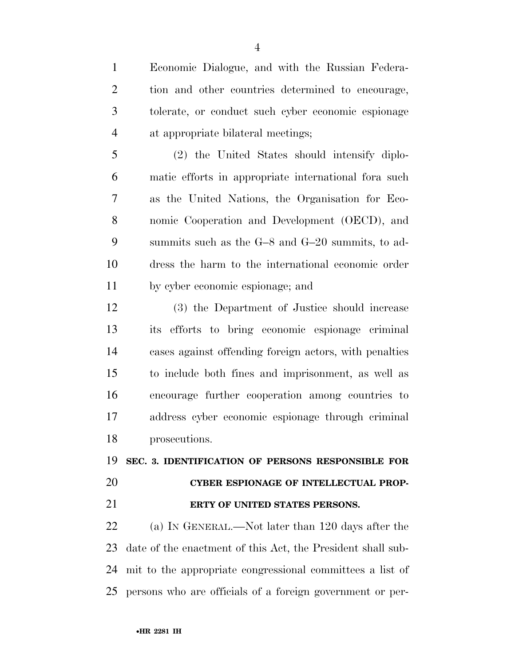Economic Dialogue, and with the Russian Federa- tion and other countries determined to encourage, tolerate, or conduct such cyber economic espionage at appropriate bilateral meetings;

 (2) the United States should intensify diplo- matic efforts in appropriate international fora such as the United Nations, the Organisation for Eco- nomic Cooperation and Development (OECD), and summits such as the G–8 and G–20 summits, to ad- dress the harm to the international economic order by cyber economic espionage; and

 (3) the Department of Justice should increase its efforts to bring economic espionage criminal cases against offending foreign actors, with penalties to include both fines and imprisonment, as well as encourage further cooperation among countries to address cyber economic espionage through criminal prosecutions.

## **SEC. 3. IDENTIFICATION OF PERSONS RESPONSIBLE FOR**

## **CYBER ESPIONAGE OF INTELLECTUAL PROP-ERTY OF UNITED STATES PERSONS.**

 (a) IN GENERAL.—Not later than 120 days after the date of the enactment of this Act, the President shall sub- mit to the appropriate congressional committees a list of persons who are officials of a foreign government or per-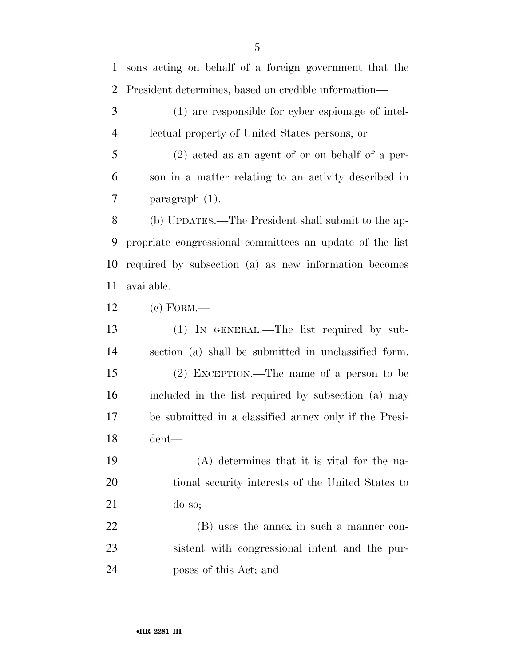sons acting on behalf of a foreign government that the President determines, based on credible information— (1) are responsible for cyber espionage of intel- lectual property of United States persons; or (2) acted as an agent of or on behalf of a per- son in a matter relating to an activity described in paragraph (1). (b) UPDATES.—The President shall submit to the ap- propriate congressional committees an update of the list required by subsection (a) as new information becomes available. (c) FORM.— (1) IN GENERAL.—The list required by sub- section (a) shall be submitted in unclassified form. (2) EXCEPTION.—The name of a person to be included in the list required by subsection (a) may be submitted in a classified annex only if the Presi- dent— (A) determines that it is vital for the na- tional security interests of the United States to do so; (B) uses the annex in such a manner con- sistent with congressional intent and the pur-poses of this Act; and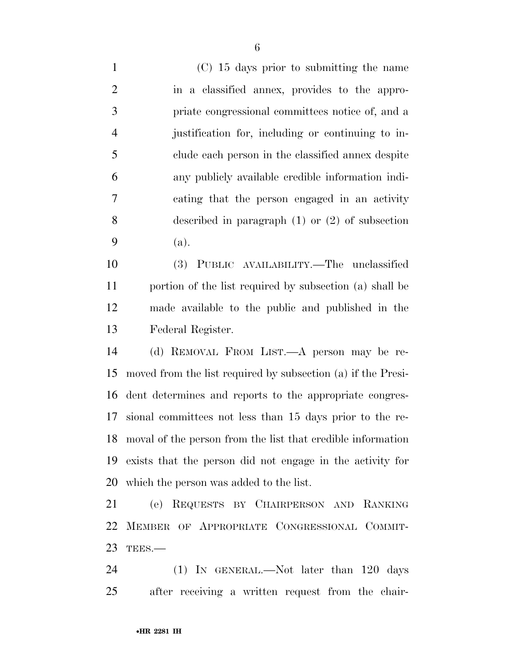(C) 15 days prior to submitting the name in a classified annex, provides to the appro- priate congressional committees notice of, and a justification for, including or continuing to in- clude each person in the classified annex despite any publicly available credible information indi- cating that the person engaged in an activity described in paragraph (1) or (2) of subsection (a).

 (3) PUBLIC AVAILABILITY.—The unclassified portion of the list required by subsection (a) shall be made available to the public and published in the Federal Register.

 (d) REMOVAL FROM LIST.—A person may be re- moved from the list required by subsection (a) if the Presi- dent determines and reports to the appropriate congres- sional committees not less than 15 days prior to the re- moval of the person from the list that credible information exists that the person did not engage in the activity for which the person was added to the list.

 (e) REQUESTS BY CHAIRPERSON AND RANKING MEMBER OF APPROPRIATE CONGRESSIONAL COMMIT-TEES.—

24 (1) IN GENERAL.—Not later than 120 days after receiving a written request from the chair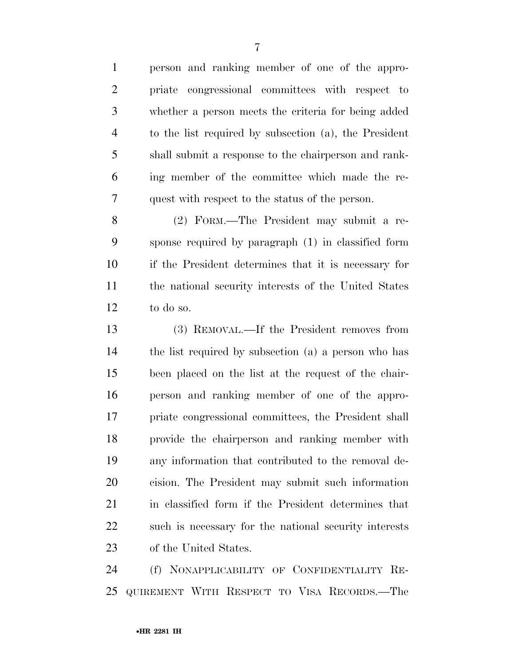person and ranking member of one of the appro- priate congressional committees with respect to whether a person meets the criteria for being added to the list required by subsection (a), the President shall submit a response to the chairperson and rank- ing member of the committee which made the re-quest with respect to the status of the person.

 (2) FORM.—The President may submit a re- sponse required by paragraph (1) in classified form if the President determines that it is necessary for the national security interests of the United States to do so.

 (3) REMOVAL.—If the President removes from the list required by subsection (a) a person who has been placed on the list at the request of the chair- person and ranking member of one of the appro- priate congressional committees, the President shall provide the chairperson and ranking member with any information that contributed to the removal de- cision. The President may submit such information in classified form if the President determines that such is necessary for the national security interests of the United States.

 (f) NONAPPLICABILITY OF CONFIDENTIALITY RE-QUIREMENT WITH RESPECT TO VISA RECORDS.—The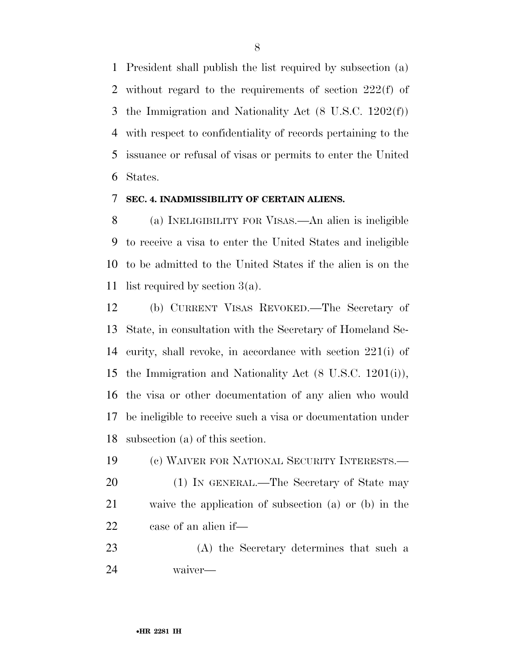President shall publish the list required by subsection (a) without regard to the requirements of section 222(f) of the Immigration and Nationality Act (8 U.S.C. 1202(f)) with respect to confidentiality of records pertaining to the issuance or refusal of visas or permits to enter the United States.

## **SEC. 4. INADMISSIBILITY OF CERTAIN ALIENS.**

 (a) INELIGIBILITY FOR VISAS.—An alien is ineligible to receive a visa to enter the United States and ineligible to be admitted to the United States if the alien is on the list required by section 3(a).

 (b) CURRENT VISAS REVOKED.—The Secretary of State, in consultation with the Secretary of Homeland Se- curity, shall revoke, in accordance with section 221(i) of the Immigration and Nationality Act (8 U.S.C. 1201(i)), the visa or other documentation of any alien who would be ineligible to receive such a visa or documentation under subsection (a) of this section.

 (c) WAIVER FOR NATIONAL SECURITY INTERESTS.— 20 (1) IN GENERAL.—The Secretary of State may waive the application of subsection (a) or (b) in the case of an alien if—

 (A) the Secretary determines that such a waiver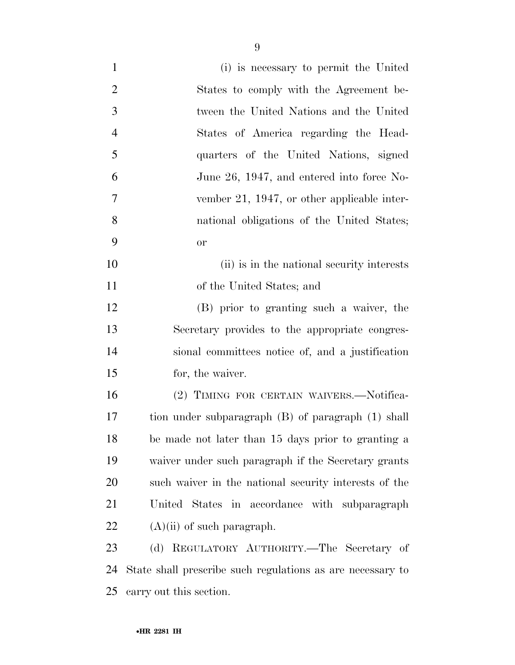| $\mathbf{1}$   | (i) is necessary to permit the United                      |
|----------------|------------------------------------------------------------|
| $\overline{2}$ | States to comply with the Agreement be-                    |
| 3              | tween the United Nations and the United                    |
| $\overline{4}$ | States of America regarding the Head-                      |
| 5              | quarters of the United Nations, signed                     |
| 6              | June 26, 1947, and entered into force No-                  |
| $\tau$         | vember 21, 1947, or other applicable inter-                |
| 8              | national obligations of the United States;                 |
| 9              | <b>or</b>                                                  |
| 10             | (ii) is in the national security interests                 |
| 11             | of the United States; and                                  |
| 12             | (B) prior to granting such a waiver, the                   |
| 13             | Secretary provides to the appropriate congres-             |
| 14             | sional committees notice of, and a justification           |
| 15             | for, the waiver.                                           |
| 16             | (2) TIMING FOR CERTAIN WAIVERS.—Notifica-                  |
| 17             | tion under subparagraph (B) of paragraph (1) shall         |
| 18             | be made not later than 15 days prior to granting a         |
| 19             | waiver under such paragraph if the Secretary grants        |
| 20             | such waiver in the national security interests of the      |
| 21             | United States in accordance with subparagraph              |
| 22             | $(A)(ii)$ of such paragraph.                               |
| 23             | (d) REGULATORY AUTHORITY.—The Secretary of                 |
| 24             | State shall prescribe such regulations as are necessary to |
| 25             | carry out this section.                                    |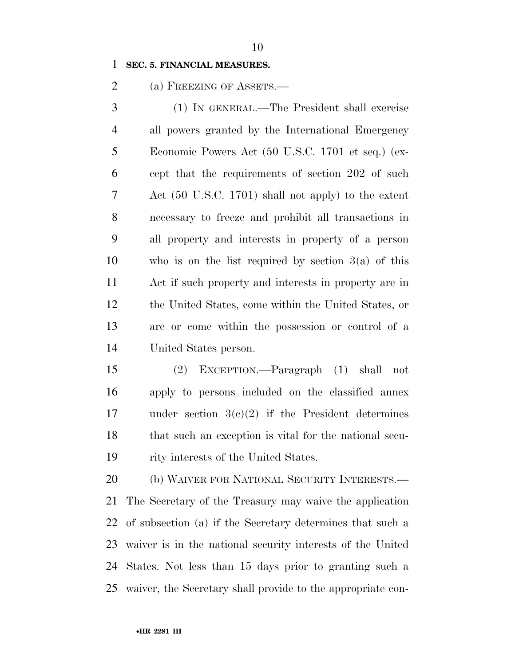## **SEC. 5. FINANCIAL MEASURES.**

2 (a) FREEZING OF ASSETS.—

 (1) IN GENERAL.—The President shall exercise all powers granted by the International Emergency Economic Powers Act (50 U.S.C. 1701 et seq.) (ex- cept that the requirements of section 202 of such Act (50 U.S.C. 1701) shall not apply) to the extent necessary to freeze and prohibit all transactions in all property and interests in property of a person who is on the list required by section 3(a) of this Act if such property and interests in property are in the United States, come within the United States, or are or come within the possession or control of a United States person.

 (2) EXCEPTION.—Paragraph (1) shall not apply to persons included on the classified annex under section 3(c)(2) if the President determines that such an exception is vital for the national secu-rity interests of the United States.

 (b) WAIVER FOR NATIONAL SECURITY INTERESTS.— The Secretary of the Treasury may waive the application of subsection (a) if the Secretary determines that such a waiver is in the national security interests of the United States. Not less than 15 days prior to granting such a waiver, the Secretary shall provide to the appropriate con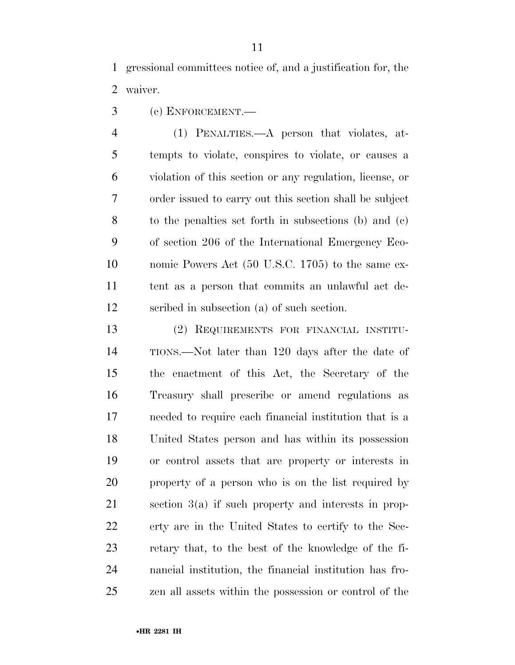gressional committees notice of, and a justification for, the waiver.

(c) ENFORCEMENT.—

 (1) PENALTIES.—A person that violates, at- tempts to violate, conspires to violate, or causes a violation of this section or any regulation, license, or order issued to carry out this section shall be subject to the penalties set forth in subsections (b) and (c) of section 206 of the International Emergency Eco- nomic Powers Act (50 U.S.C. 1705) to the same ex- tent as a person that commits an unlawful act de-scribed in subsection (a) of such section.

 (2) REQUIREMENTS FOR FINANCIAL INSTITU- TIONS.—Not later than 120 days after the date of the enactment of this Act, the Secretary of the Treasury shall prescribe or amend regulations as needed to require each financial institution that is a United States person and has within its possession or control assets that are property or interests in property of a person who is on the list required by section 3(a) if such property and interests in prop- erty are in the United States to certify to the Sec- retary that, to the best of the knowledge of the fi- nancial institution, the financial institution has fro-zen all assets within the possession or control of the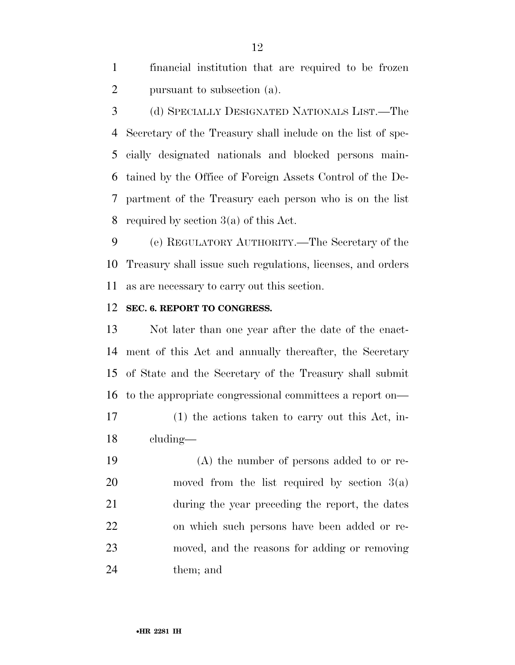financial institution that are required to be frozen pursuant to subsection (a).

 (d) SPECIALLY DESIGNATED NATIONALS LIST.—The Secretary of the Treasury shall include on the list of spe- cially designated nationals and blocked persons main- tained by the Office of Foreign Assets Control of the De- partment of the Treasury each person who is on the list required by section 3(a) of this Act.

 (e) REGULATORY AUTHORITY.—The Secretary of the Treasury shall issue such regulations, licenses, and orders as are necessary to carry out this section.

## **SEC. 6. REPORT TO CONGRESS.**

 Not later than one year after the date of the enact- ment of this Act and annually thereafter, the Secretary of State and the Secretary of the Treasury shall submit to the appropriate congressional committees a report on—

 (1) the actions taken to carry out this Act, in-cluding—

 (A) the number of persons added to or re- moved from the list required by section 3(a) during the year preceding the report, the dates on which such persons have been added or re- moved, and the reasons for adding or removing them; and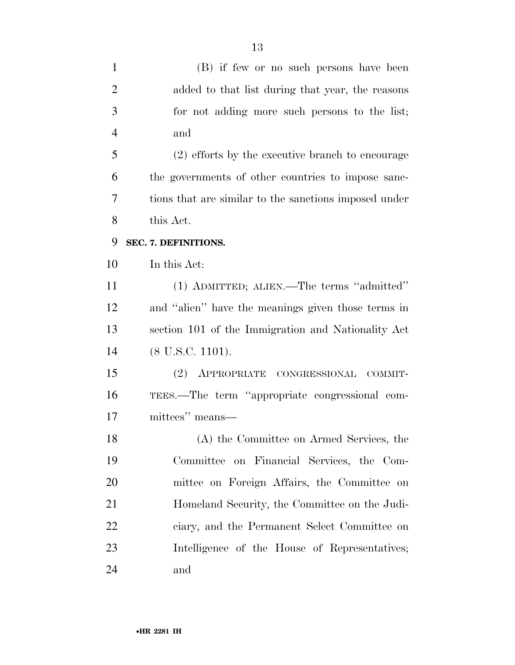| $\mathbf{1}$   | (B) if few or no such persons have been               |
|----------------|-------------------------------------------------------|
| $\overline{2}$ | added to that list during that year, the reasons      |
| 3              | for not adding more such persons to the list;         |
| $\overline{4}$ | and                                                   |
| 5              | (2) efforts by the executive branch to encourage      |
| 6              | the governments of other countries to impose sanc-    |
| 7              | tions that are similar to the sanctions imposed under |
| 8              | this Act.                                             |
| 9              | SEC. 7. DEFINITIONS.                                  |
| 10             | In this Act:                                          |
| 11             | (1) ADMITTED; ALIEN.—The terms "admitted"             |
| 12             | and "alien" have the meanings given those terms in    |
| 13             | section 101 of the Immigration and Nationality Act    |
| 14             | $(8$ U.S.C. 1101).                                    |
| 15             | (2) APPROPRIATE CONGRESSIONAL COMMIT-                 |
| 16             | TEES.—The term "appropriate congressional com-        |
| 17             | mittees" means—                                       |
| 18             | (A) the Committee on Armed Services, the              |
| 19             | Committee on Financial Services, the Com-             |
| 20             | mittee on Foreign Affairs, the Committee on           |
| 21             | Homeland Security, the Committee on the Judi-         |
| 22             | ciary, and the Permanent Select Committee on          |
| 23             | Intelligence of the House of Representatives;         |
| 24             | and                                                   |